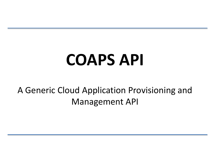# **COAPS API**

#### A Generic Cloud Application Provisioning and Management API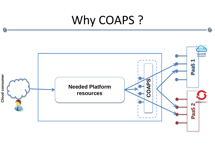#### Why COAPS ?

O

O

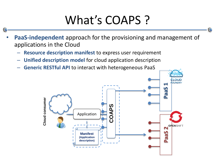### What's COAPS ?

- **PaaS-independent** approach for the provisioning and management of applications in the Cloud
	- **Resource description manifest** to express user requirement
	- **Unified description model** for cloud application description
	- **Generic RESTful API** to interact with heterogeneous PaaS

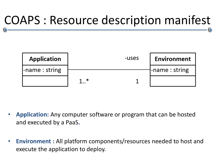#### COAPS : Resource description manifest



- **Application:** Any computer software or program that can be hosted and executed by a PaaS**.**
- **Environment :** All platform components/resources needed to host and execute the application to deploy.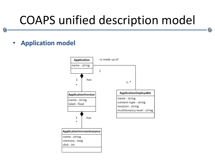C

• **Application model**

O

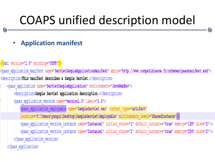#### • **Application manifest**

<?xml version="1.0" encoding="UTF8"?>

kpaas application manifest name="<mark>ServletSampleApplicationManifest" xmlns="http://www.compatibleone.fr/schemes/paasmanifest.xsd"></mark> <description>This manifest describes a Sample Servlet.</description>

<paas application name="ServletSampleApplication" environement="JavaWebEnv">

<description>Sample Servlet application description.</description>

<paas application version name="version1.0" label="1.0">

<paas application deployable name="SampleServlet.war" content type="artifact"

location="C:\Users\yangui\Desktop\SampleServlet\deployable" multitenancy level="SharedInstance"/>

<paas application version instance name="Instance1" initial state="1" default instance="true" memory="128" disk="2"/> <paas application version instance name="Instance1" initial state="1" default instance="true" memory="256" disk="2"/> </paas application version>

</paas application>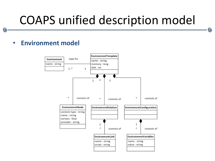C

• **Environment model**

C

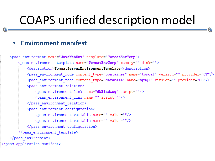#### • **Environment manifest**

```
<paas environment name="JavaWebEnv" template="TomcatEnvTemp">
        <paas environment template name="TomcatEnvTemp" memory="" disk="">
            <description>TomcatServerEnvironmentTemplate</description>
            <paas environment node content type="container" name="tomcat" version="" provider="CF"/>
            <paas_environment_node_content_type="database"_name="mysql" version="" provider="0S"/>
            <paas environment relation>
                <paas environment link name="dbBinding" script=""/>
                <paas environment link name="" script=""/>
            </paas environment relation>
            <paas environment configuration>
                <paas environment variable name="" value=""/>
                <paas environment variable name="" value=""/>
            </paas environment configuration>
        </paas environment template>
    </paas environment>
</paas application manifest>
```